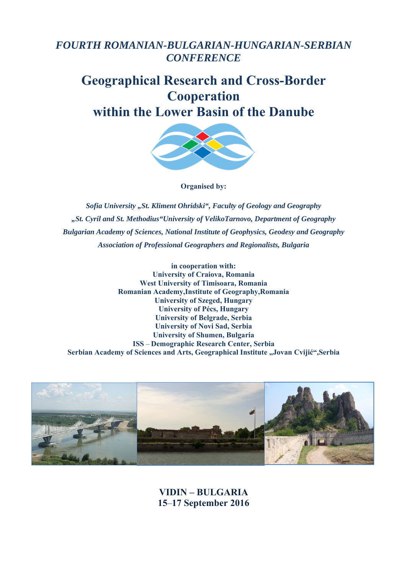## *FOURTH ROMANIAN-BULGARIAN-HUNGARIAN-SERBIAN CONFERENCE*

# **Geographical Research and Cross-Border Cooperation within the Lower Basin of the Danube**



**Organised by:** 

*Sofia University "St. Kliment Ohridski", Faculty of Geology and Geography "St. Cyril and St. Methodius"University of VelikoTarnovo, Department of Geography Bulgarian Academy of Sciences, National Institute of Geophysics, Geodesy and Geography Association of Professional Geographers and Regionalists, Bulgaria* 

**in cooperation with: University of Craiova, Romania West University of Timisoara, Romania Romanian Academy,Institute of Geography,Romania University of Szeged, Hungary University of Pécs, Hungary University of Belgrade, Serbia University of Novi Sad, Serbia University of Shumen, Bulgaria ISS** *–* **Demographic Research Center, Serbia Serbian Academy of Sciences and Arts, Geographical Institute "Jovan Cvijić",Serbia** 



**VIDIN – BULGARIA 15***–***17 September 2016**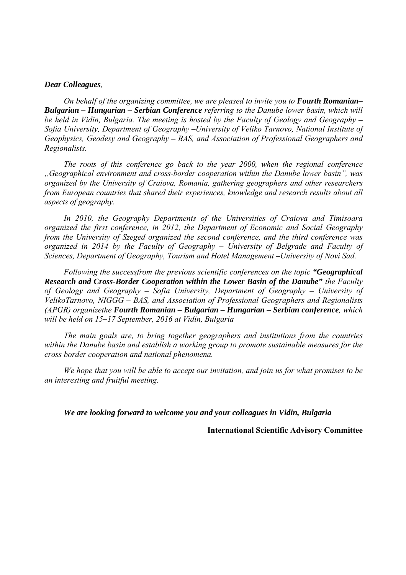#### *Dear Colleagues,*

*On behalf of the organizing committee, we are pleased to invite you to Fourth Romanian– Bulgarian – Hungarian – Serbian Conference referring to the Danube lower basin, which will*  be held in Vidin, Bulgaria. The meeting is hosted by the Faculty of Geology and Geography – *Sofia University, Department of Geography –University of Veliko Tarnovo, National Institute of Geophysics, Geodesy and Geography – BAS, and Association of Professional Geographers and Regionalists.* 

*The roots of this conference go back to the year 2000, when the regional conference "Geographical environment and cross-border cooperation within the Danube lower basin", was organized by the University of Craiova, Romania, gathering geographers and other researchers from European countries that shared their experiences, knowledge and research results about all aspects of geography.* 

*In 2010, the Geography Departments of the Universities of Craiova and Timisoara organized the first conference, in 2012, the Department of Economic and Social Geography from the University of Szeged organized the second conference, and the third conference was organized in 2014 by the Faculty of Geography – University of Belgrade and Faculty of Sciences, Department of Geography, Tourism and Hotel Management - University of Novi Sad.* 

*Following the successfrom the previous scientific conferences on the topic "Geographical Research and Cross-Border Cooperation within the Lower Basin of the Danube" the Faculty of Geology and Geography – Sofia University, Department of Geography – University of VelikoTarnovo, NIGGG – BAS, and Association of Professional Geographers and Regionalists (APGR) organizethe Fourth Romanian – Bulgarian – Hungarian – Serbian conference, which will be held on 15–17 September, 2016 at Vidin, Bulgaria* 

*The main goals are, to bring together geographers and institutions from the countries within the Danube basin and establish a working group to promote sustainable measures for the cross border cooperation and national phenomena.* 

*We hope that you will be able to accept our invitation, and join us for what promises to be an interesting and fruitful meeting.* 

*We are looking forward to welcome you and your colleagues in Vidin, Bulgaria* 

**International Scientific Advisory Committee**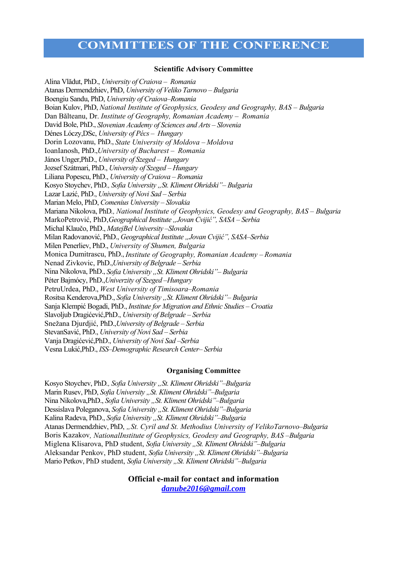### **COMMITTEES OF THE CONFERENCE**

#### **Scientific Advisory Committee**

Alina Vlădut, PhD., *University of Craiova – Romania*  Atanas Dermendzhiev, PhD, *University of Veliko Tarnovo – Bulgaria*  Boengiu Sandu, PhD, *University of Craiova–Romania*  Boian Kulov, PhD, *National Institute of Geophysics, Geodesy and Geography, BAS – Bulgaria*  Dan Bălteanu, Dr. *Institute of Geography, Romanian Academy – Romania* David Bole, PhD., *Slovenian Academy of Sciences and Arts – Slovenia*  Dénes Lóczy,DSc, *University of Pécs – Hungary*  Dorin Lozovanu, PhD., *State University of Moldova – Moldova* IoanIanosh, PhD.,*University of Bucharest – Romania* János Unger,PhD., *University of Szeged – Hungary*  Jozsef Szátmari, PhD., *University of Szeged – Hungary*  Liliana Popescu, PhD., *University of Craiova – Romania*  Kosyo Stoychev, PhD., Sofia University "St. Kliment Ohridski" – Bulgaria Lazar Lazić, PhD., *University of Novi Sad – Serbia*  Marian Melo, PhD, *Comenius University – Slovakia*  Mariana Nikolova, PhD*., National Institute of Geophysics, Geodesy and Geography, BAS – Bulgaria*  MarkoPetrović, PhD,*Geographical Institute "Jovan Cvijić", SASA – Serbia* Michal Klaučo, PhD., *MatejBel University –Slovakia*  Milan Radovanović, PhD., *Geographical Institute "Jovan Cvijić", SASA–Serbia*  Milen Penerliev, PhD., *University of Shumen, Bulgaria* Monica Dumitrascu, PhD., *Institute of Geography, Romanian Academy – Romania* Nenad Zivkovic, PhD.,*University of Belgrade – Serbia*  Nina Nikolova, PhD., *Sofia University "St. Kliment Ohridski"– Bulgaria*  Péter Bajmócy, PhD.,*Univerzity of Szeged –Hungary*  PetruUrdea, PhD., *West University of Timisoara–Romania* Rositsa Kenderova, PhD., *Sofia University* "*St. Kliment Ohridski*" – Bulgaria Sanja Klempić Bogadi, PhD., *Institute for Migration and Ethnic Studies – Croatia*  Slavoljub Dragićević,PhD., *University of Belgrade – Serbia*  Snežana Djurdjić, PhD.,*University of Belgrade – Serbia*  StevanSavić, PhD., *University of Novi Sad – Serbia*  Vanja Dragićević,PhD., *University of Novi Sad –Serbia*  Vesna Lukić,PhD., *ISS–Demographic Research Center– Serbia* 

#### **Organising Committee**

Kosyo Stoychev, PhD., Sofia University "St. Kliment Ohridski"–Bulgaria Marin Rusev, PhD, *Sofia University* "*St. Kliment Ohridski*"–Bulgaria Nina Nikolova,PhD., *Sofia University "St. Kliment Ohridski"–Bulgaria* Dessislava Poleganova, *Sofia University "St. Kliment Ohridski"–Bulgaria* Kalina Radeva, PhD., *Sofia University "St. Kliment Ohridski"–Bulgaria* Atanas Dermendzhiev, PhD, *"St. Cyril and St. Methodius University of VelikoTarnovo–Bulgaria*  Boris Kazakov*, NationalInstitute of Geophysics, Geodesy and Geography, BAS –Bulgaria*  Miglena Klisarova, PhD student, *Sofia University "St. Kliment Ohridski"–Bulgaria* Aleksandar Penkov, PhD student, *Sofia University "St. Kliment Ohridski"–Bulgaria* Mario Petkov, PhD student, *Sofia University* "*St. Kliment Ohridski*"–Bulgaria

> **Official e-mail for contact and information**  *danube2016@gmail.com*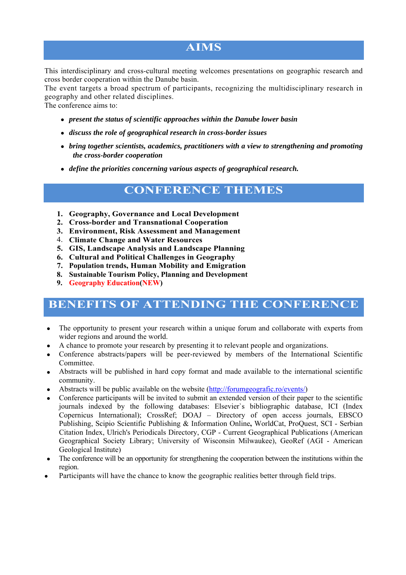## **AIMS**

This interdisciplinary and cross-cultural meeting welcomes presentations on geographic research and cross border cooperation within the Danube basin.

The event targets a broad spectrum of participants, recognizing the multidisciplinary research in geography and other related disciplines.

The conference aims to:

- *present the status of scientific approaches within the Danube lower basin*
- *discuss the role of geographical research in cross-border issues*
- *bring together scientists, academics, practitioners with a view to strengthening and promoting the cross-border cooperation*
- *define the priorities concerning various aspects of geographical research.*

### **CONFERENCE THEMES**

- **1. Geography, Governance and Local Development**
- **2. Cross-border and Transnational Cooperation**
- **3. Environment, Risk Assessment and Management**
- 4. **Climate Change and Water Resources**
- **5. GIS, Landscape Analysis and Landscape Planning**
- **6. Cultural and Political Challenges in Geography**
- **7. Population trends, Human Mobility and Emigration**
- **8. Sustainable Tourism Policy, Planning and Development**
- **9. Geography Education(NEW)**

## **BENEFITS OF ATTENDING THE CONFERENCE**

- The opportunity to present your research within a unique forum and collaborate with experts from wider regions and around the world.
- A chance to promote your research by presenting it to relevant people and organizations.
- Conference abstracts/papers will be peer-reviewed by members of the International Scientific Committee.
- Abstracts will be published in hard copy format and made available to the international scientific community.
- Abstracts will be public available on the website (http://forumgeografic.ro/events/)
- Conference participants will be invited to submit an extended version of their paper to the scientific journals indexed by the following databases: Elsevier`s bibliographic database, ICI (Index Copernicus International); CrossRef; DOAJ – Directory of open access journals, EBSCO Publishing, Scipio Scientific Publishing & Information Online**,** WorldCat, ProQuest, SCI - Serbian Citation Index, Ulrich's Periodicals Directory, CGP - Current Geographical Publications (American Geographical Society Library; University of Wisconsin Milwaukee), GeoRef (AGI - American Geological Institute)
- The conference will be an opportunity for strengthening the cooperation between the institutions within the region.
- Participants will have the chance to know the geographic realities better through field trips.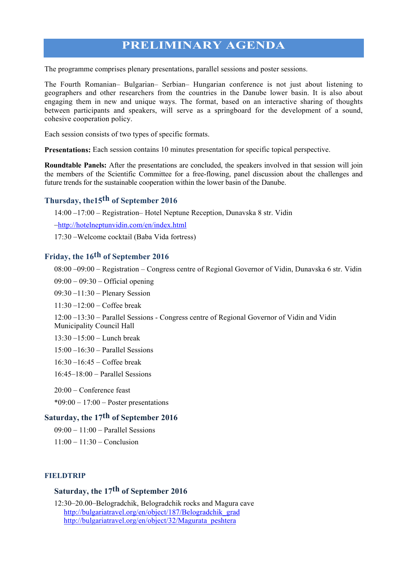### **PRELIMINARY AGENDA**

The programme comprises plenary presentations, parallel sessions and poster sessions.

The Fourth Romanian– Bulgarian– Serbian– Hungarian conference is not just about listening to geographers and other researchers from the countries in the Danube lower basin. It is also about engaging them in new and unique ways. The format, based on an interactive sharing of thoughts between participants and speakers, will serve as a springboard for the development of a sound, cohesive cooperation policy.

Each session consists of two types of specific formats.

**Presentations:** Each session contains 10 minutes presentation for specific topical perspective.

**Roundtable Panels:** After the presentations are concluded, the speakers involved in that session will join the members of the Scientific Committee for a free-flowing, panel discussion about the challenges and future trends for the sustainable cooperation within the lower basin of the Danube.

#### **Thursday, the15th of September 2016**

14:00 \_17:00 \_ Registration– Hotel Neptune Reception, Dunavska 8 str. Vidin

\_http://hotelneptunvidin.com/en/index.html

17:30 \_Welcome cocktail (Baba Vida fortress)

#### **Friday, the 16th of September 2016**

08:00 -09:00 - Registration - Congress centre of Regional Governor of Vidin, Dunavska 6 str. Vidin

 $09:00 - 09:30 -$  Official opening

09:30 -11:30 - Plenary Session

 $11:30 - 12:00 - \text{Coffee break}$ 

12:00 \_13:30 \_ Parallel Sessions - Congress centre of Regional Governor of Vidin and Vidin Municipality Council Hall

 $13:30 - 15:00 -$  Lunch break

 $15:00 - 16:30$  – Parallel Sessions

 $16:30 - 16:45 - \text{Coffee break}$ 

 $16.45-18.00$  – Parallel Sessions

20:00 \_ Conference feast

 $*09:00 - 17:00 - Poster presentations$ 

#### **Saturday, the 17th of September 2016**

 $09:00 - 11:00$  – Parallel Sessions

 $11:00 - 11:30 -$ Conclusion

#### **FIELDTRIP**

#### **Saturday, the 17th of September 2016**

12:30\_20.00\_Belogradchik, Belogradchik rocks and Magura cave http://bulgariatravel.org/en/object/187/Belogradchik\_grad http://bulgariatravel.org/en/object/32/Magurata\_peshtera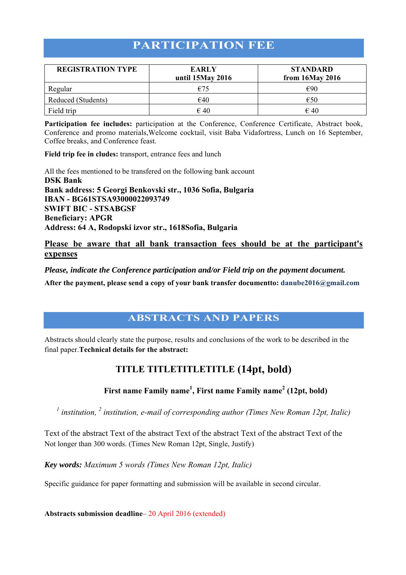## **PARTICIPATION FEE**

| <b>REGISTRATION TYPE</b> | <b>EARLY</b><br>until 15May 2016 | <b>STANDARD</b><br>from 16May 2016 |
|--------------------------|----------------------------------|------------------------------------|
| Regular                  | €75                              | €90                                |
| Reduced (Students)       | €40                              | €50                                |
| Field trip               | $\epsilon$ 40                    | $\epsilon$ 40                      |

**Participation fee includes:** participation at the Conference, Conference Certificate, Abstract book, Conference and promo materials,Welcome cocktail, visit Baba Vidafortress, Lunch on 16 September, Coffee breaks, and Conference feast.

**Field trip fee in cludes:** transport, entrance fees and lunch

All the fees mentioned to be transfered on the following bank account **DSK Bank Bank address: 5 Georgi Benkovski str., 1036 Sofia, Bulgaria IBAN - BG61STSA93000022093749 SWIFT BIC - STSABGSF Beneficiary: APGR Address: 64 A, Rodopski izvor str., 1618Sofia, Bulgaria** 

#### **Please be aware that all bank transaction fees should be at the participant's expenses**

#### *Please, indicate the Conference participation and/or Field trip on the payment document.*

**After the payment, please send a copy of your bank transfer documentto: danube2016@gmail.com**

### **ABSTRACTS AND PAPERS**

Abstracts should clearly state the purpose, results and conclusions of the work to be described in the final paper.**Technical details for the abstract:** 

### **TITLE TITLETITLETITLE (14pt, bold)**

First name Family name<sup>1</sup>, First name Family name<sup>2</sup> (12pt, bold)

<sup>1</sup> institution, <sup>2</sup> institution, e-mail of corresponding author (Times New Roman 12pt, Italic)

Text of the abstract Text of the abstract Text of the abstract Text of the abstract Text of the Not longer than 300 words. (Times New Roman 12pt, Single, Justify)

*Key words: Maximum 5 words (Times New Roman 12pt, Italic)*

Specific guidance for paper formatting and submission will be available in second circular.

**Abstracts submission deadline**– 20 April 2016 (extended)